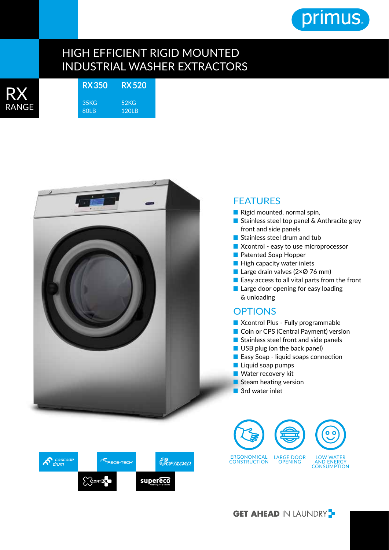

## HIGH EFFICIENT RIGID MOUNTED INDUSTRIAL WASHER EXTRACTORS

| RANGE |  |
|-------|--|

**RX 350** 35KG 80LB **RX 520** 52KG 120LB



## **FEATURES**

- Rigid mounted, normal spin,
- Stainless steel top panel & Anthracite grey front and side panels
- Stainless steel drum and tub
- Xcontrol easy to use microprocessor
- Patented Soap Hopper
- High capacity water inlets
- Large drain valves ( $2\times\emptyset$  76 mm)
- Easy access to all vital parts from the front
- Large door opening for easy loading & unloading

## **OPTIONS**

- Xcontrol Plus Fully programmable
- Coin or CPS (Central Payment) version
- Stainless steel front and side panels
- USB plug (on the back panel)
- Easy Soap liquid soaps connection
- Liquid soap pumps
- Water recovery kit
- Steam heating version
- 3rd water inlet